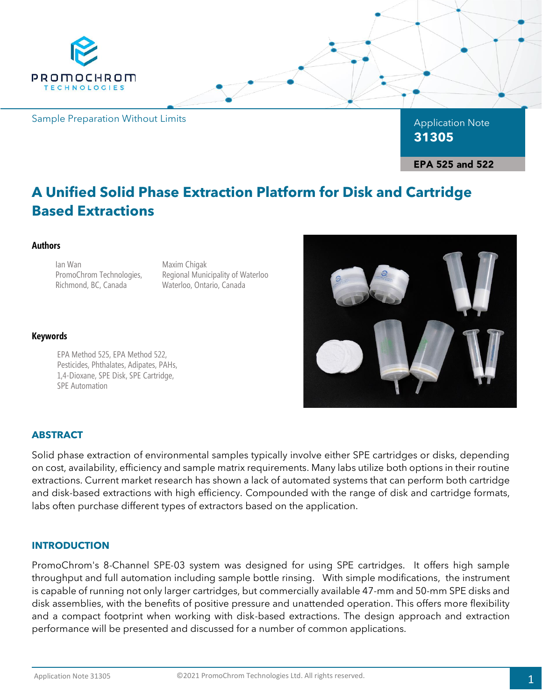

# **A Unified Solid Phase Extraction Platform for Disk and Cartridge Based Extractions**

### **Authors**

Ian Wan PromoChrom Technologies, Richmond, BC, Canada

Maxim Chigak Regional Municipality of Waterloo Waterloo, Ontario, Canada

### **Keywords**

EPA Method 525, EPA Method 522, Pesticides, Phthalates, Adipates, PAHs, 1,4-Dioxane, SPE Disk, SPE Cartridge, SPE Automation



# **ABSTRACT**

Solid phase extraction of environmental samples typically involve either SPE cartridges or disks, depending on cost, availability, efficiency and sample matrix requirements. Many labs utilize both options in their routine extractions. Current market research has shown a lack of automated systems that can perform both cartridge and disk-based extractions with high efficiency. Compounded with the range of disk and cartridge formats, labs often purchase different types of extractors based on the application.

### **INTRODUCTION**

PromoChrom's 8-Channel SPE-03 system was designed for using SPE cartridges. It offers high sample throughput and full automation including sample bottle rinsing. With simple modifications, the instrument is capable of running not only larger cartridges, but commercially available 47-mm and 50-mm SPE disks and disk assemblies, with the benefits of positive pressure and unattended operation. This offers more flexibility and a compact footprint when working with disk-based extractions. The design approach and extraction performance will be presented and discussed for a number of common applications.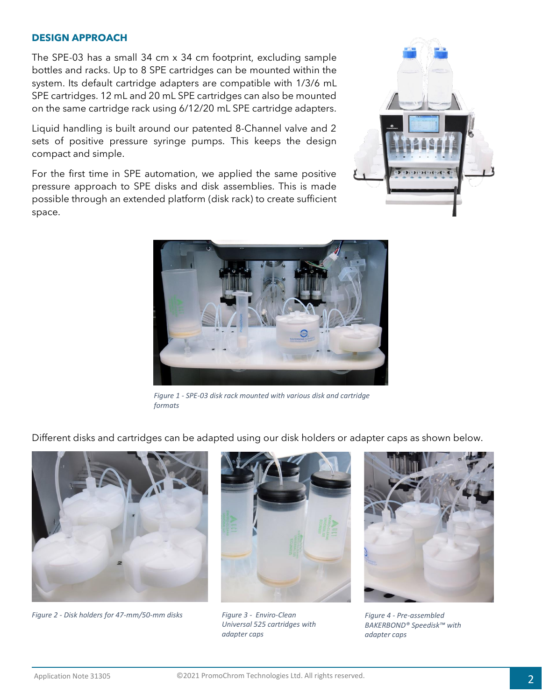### **DESIGN APPROACH**

The SPE-03 has a small 34 cm x 34 cm footprint, excluding sample bottles and racks. Up to 8 SPE cartridges can be mounted within the system. Its default cartridge adapters are compatible with 1/3/6 mL SPE cartridges. 12 mL and 20 mL SPE cartridges can also be mounted on the same cartridge rack using 6/12/20 mL SPE cartridge adapters.

Liquid handling is built around our patented 8-Channel valve and 2 sets of positive pressure syringe pumps. This keeps the design compact and simple.

For the first time in SPE automation, we applied the same positive pressure approach to SPE disks and disk assemblies. This is made possible through an extended platform (disk rack) to create sufficient space.





*Figure 1 - SPE-03 disk rack mounted with various disk and cartridge formats*

Different disks and cartridges can be adapted using our disk holders or adapter caps as shown below.



*Figure 2 - Disk holders for 47-mm/50-mm disks*



*Figure 3 - Enviro-Clean Universal 525 cartridges with adapter caps*



*Figure 4 - Pre-assembled BAKERBOND® Speedisk™ with adapter caps*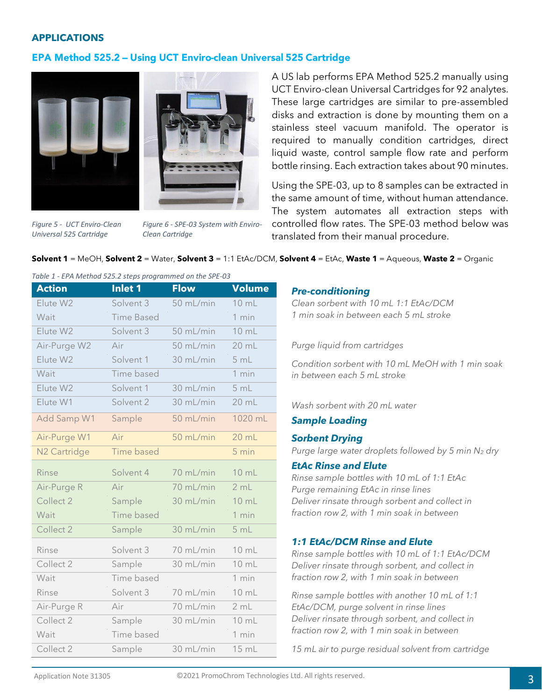### **APPLICATIONS**

# EPA Method 525.2 - Using UCT Enviro-clean Universal 525 Cartridge





*Figure 5 - UCT Enviro-Clean Universal 525 Cartridge*

*Figure 6 - SPE-03 System with Enviro-Clean Cartridge*

A US lab performs EPA Method 525.2 manually using UCT Enviro-clean Universal Cartridges for 92 analytes. These large cartridges are similar to pre-assembled disks and extraction is done by mounting them on a stainless steel vacuum manifold. The operator is required to manually condition cartridges, direct liquid waste, control sample flow rate and perform bottle rinsing. Each extraction takes about 90 minutes.

Using the SPE-03, up to 8 samples can be extracted in the same amount of time, without human attendance. The system automates all extraction steps with controlled flow rates. The SPE-03 method below was translated from their manual procedure.

### **Solvent 1** = MeOH, **Solvent 2** = Water, **Solvent 3** = 1:1 EtAc/DCM, **Solvent 4** = EtAc, **Waste 1** = Aqueous, **Waste 2** = Organic

*Table 1 - EPA Method 525.2 steps programmed on the SPE-03*

| <b>Action</b>            | <b>Inlet 1</b>    | <b>Flow</b> | Volume          |
|--------------------------|-------------------|-------------|-----------------|
| Elute W2                 | Solvent 3         | 50 mL/min   | $10 \text{ mL}$ |
| Wait                     | <b>Time Based</b> |             | 1 min           |
| Elute W2                 | Solvent 3         | 50 mL/min   | 10 mL           |
| Air-Purge W2             | Air               | 50 mL/min   | 20 mL           |
| Elute W2                 | Solvent 1         | 30 mL/min   | 5 mL            |
| Wait                     | Time based        |             | 1 min           |
| Elute W2                 | Solvent 1         | 30 mL/min   | 5 mL            |
| Elute W1                 | Solvent 2         | 30 mL/min   | 20 mL           |
| Add Samp W1              | Sample            | 50 mL/min   | 1020 mL         |
| Air-Purge W1             | Air               | 50 mL/min   | 20 mL           |
| N <sub>2</sub> Cartridge | <b>Time based</b> |             | 5 min           |
| <b>Rinse</b>             | Solvent 4         | 70 mL/min   | 10 mL           |
| Air-Purge R              | Air               | 70 mL/min   | 2 mL            |
| Collect 2                | Sample            | 30 mL/min   | 10 mL           |
| Wait                     | Time based        |             | 1 min           |
| Collect 2                | Sample            | 30 mL/min   | 5 mL            |
| Rinse                    | Solvent 3         | 70 mL/min   | 10 mL           |
| Collect 2                | Sample            | 30 mL/min   | 10 mL           |
| Wait                     | Time based        |             | 1 min           |
| Rinse                    | Solvent 3         | 70 mL/min   | 10 mL           |
| Air-Purge R              | Air               | 70 mL/min   | 2 mL            |
| Collect 2                | Sample            | 30 mL/min   | 10 mL           |
| Wait                     | Time based        |             | 1 min           |
| Collect 2                | Sample            | 30 mL/min   | 15 mL           |

#### *Pre-conditioning*

*Clean sorbent with 10 mL 1:1 EtAc/DCM 1 min soak in between each 5 mL stroke*

#### *Purge liquid from cartridges*

*Condition sorbent with 10 mL MeOH with 1 min soak in between each 5 mL stroke*

### *Wash sorbent with 20 mL water*

### *Sample Loading*

#### *Sorbent Drying*

*Purge large water droplets followed by 5 min N<sup>2</sup> dry*

#### *EtAc Rinse and Elute*

*Rinse sample bottles with 10 mL of 1:1 EtAc Purge remaining EtAc in rinse lines Deliver rinsate through sorbent and collect in fraction row 2, with 1 min soak in between*

#### *1:1 EtAc/DCM Rinse and Elute*

*Rinse sample bottles with 10 mL of 1:1 EtAc/DCM Deliver rinsate through sorbent, and collect in fraction row 2, with 1 min soak in between*

*Rinse sample bottles with another 10 mL of 1:1 EtAc/DCM, purge solvent in rinse lines Deliver rinsate through sorbent, and collect in fraction row 2, with 1 min soak in between*

*15 mL air to purge residual solvent from cartridge*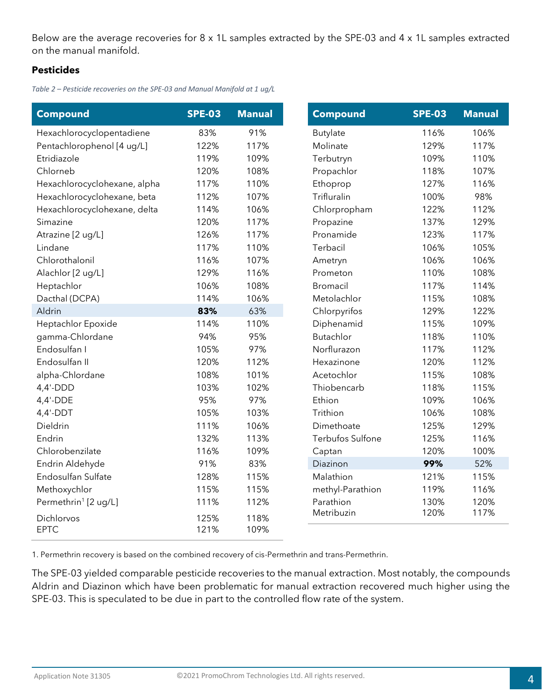Below are the average recoveries for 8 x 1L samples extracted by the SPE-03 and 4 x 1L samples extracted on the manual manifold.

# **Pesticides**

*Table 2 – Pesticide recoveries on the SPE-03 and Manual Manifold at 1 ug/L*

| <b>Compound</b>                  | <b>SPE-03</b> | <b>Manual</b> |  | <b>Compound</b>  | <b>SPE-03</b> |
|----------------------------------|---------------|---------------|--|------------------|---------------|
| Hexachlorocyclopentadiene        | 83%           | 91%           |  | Butylate         | 116%          |
| Pentachlorophenol [4 ug/L]       | 122%          | 117%          |  | Molinate         | 129%          |
| Etridiazole                      | 119%          | 109%          |  | Terbutryn        | 109%          |
| Chlorneb                         | 120%          | 108%          |  | Propachlor       | 118%          |
| Hexachlorocyclohexane, alpha     | 117%          | 110%          |  | Ethoprop         | 127%          |
| Hexachlorocyclohexane, beta      | 112%          | 107%          |  | Trifluralin      | 100%          |
| Hexachlorocyclohexane, delta     | 114%          | 106%          |  | Chlorpropham     | 122%          |
| Simazine                         | 120%          | 117%          |  | Propazine        | 137%          |
| Atrazine [2 ug/L]                | 126%          | 117%          |  | Pronamide        | 123%          |
| Lindane                          | 117%          | 110%          |  | Terbacil         | 106%          |
| Chlorothalonil                   | 116%          | 107%          |  | Ametryn          | 106%          |
| Alachlor [2 ug/L]                | 129%          | 116%          |  | Prometon         | 110%          |
| Heptachlor                       | 106%          | 108%          |  | Bromacil         | 117%          |
| Dacthal (DCPA)                   | 114%          | 106%          |  | Metolachlor      | 115%          |
| Aldrin                           | 83%           | 63%           |  | Chlorpyrifos     | 129%          |
| Heptachlor Epoxide               | 114%          | 110%          |  | Diphenamid       | 115%          |
| gamma-Chlordane                  | 94%           | 95%           |  | <b>Butachlor</b> | 118%          |
| Endosulfan I                     | 105%          | 97%           |  | Norflurazon      | 117%          |
| Endosulfan II                    | 120%          | 112%          |  | Hexazinone       | 120%          |
| alpha-Chlordane                  | 108%          | 101%          |  | Acetochlor       | 115%          |
| $4,4'-DDD$                       | 103%          | 102%          |  | Thiobencarb      | 118%          |
| $4,4'-DDE$                       | 95%           | 97%           |  | Ethion           | 109%          |
| $4,4'-DDT$                       | 105%          | 103%          |  | Trithion         | 106%          |
| Dieldrin                         | 111%          | 106%          |  | Dimethoate       | 125%          |
| Endrin                           | 132%          | 113%          |  | Terbufos Sulfone | 125%          |
| Chlorobenzilate                  | 116%          | 109%          |  | Captan           | 120%          |
| Endrin Aldehyde                  | 91%           | 83%           |  | Diazinon         | 99%           |
| Endosulfan Sulfate               | 128%          | 115%          |  | Malathion        | 121%          |
| Methoxychlor                     | 115%          | 115%          |  | methyl-Parathion | 119%          |
| Permethrin <sup>1</sup> [2 ug/L] | 111%          | 112%          |  | Parathion        | 130%          |
|                                  |               |               |  | Metribuzin       | 120%          |
| Dichlorvos                       | 125%          | 118%          |  |                  |               |
| <b>EPTC</b>                      | 121%          | 109%          |  |                  |               |

1. Permethrin recovery is based on the combined recovery of cis-Permethrin and trans-Permethrin.

The SPE-03 yielded comparable pesticide recoveries to the manual extraction. Most notably, the compounds Aldrin and Diazinon which have been problematic for manual extraction recovered much higher using the SPE-03. This is speculated to be due in part to the controlled flow rate of the system.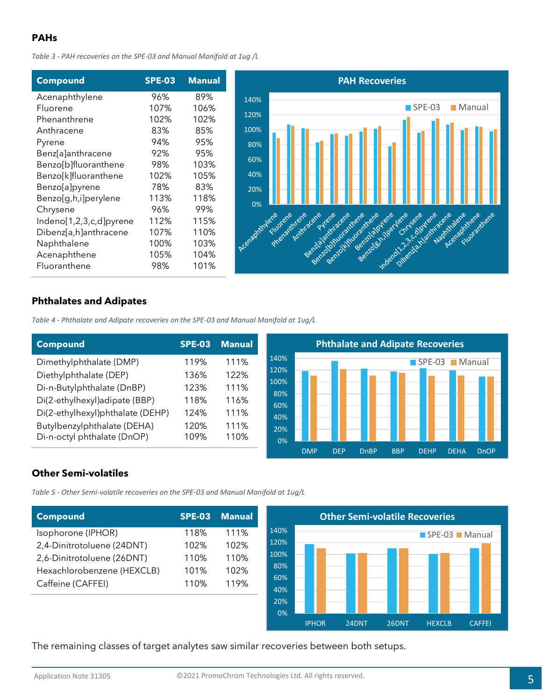# **PAHs**

*Table 3 - PAH recoveries on the SPE-03 and Manual Manifold at 1ug /L*

| <b>SPE-03</b> | <b>Manual</b> |                 |
|---------------|---------------|-----------------|
| 96%           | 89%           | 14(             |
| 107%          | 106%          |                 |
| 102%          | 102%          | 12 <sub>0</sub> |
| 83%           | 85%           | 10              |
| 94%           | 95%           | 8 <sup>1</sup>  |
| 92%           | 95%           |                 |
| 98%           | 103%          | 6 <sub>0</sub>  |
| 102%          | 105%          | $\overline{4}$  |
| 78%           | 83%           | $\overline{2}$  |
| 113%          | 118%          |                 |
| 96%           | 99%           |                 |
| 112%          | 115%          |                 |
| 107%          | 110%          |                 |
| 100%          | 103%          | Acent           |
| 105%          | 104%          |                 |
| 98%           | 101%          |                 |
|               |               |                 |



# **Phthalates and Adipates**

*Table 4 - Phthalate and Adipate recoveries on the SPE-03 and Manual Manifold at 1ug/L*

| <b>Compound</b>                  | <b>SPE-03</b> | <b>Manual</b> | <b>Phthalate and Adipate Recoveries</b> |            |            |             |            |                       |             |             |
|----------------------------------|---------------|---------------|-----------------------------------------|------------|------------|-------------|------------|-----------------------|-------------|-------------|
| Dimethylphthalate (DMP)          | 119%          | 111%          | 140%<br>120%                            |            |            |             |            | $\blacksquare$ SPE-03 |             | Manual      |
| Diethylphthalate (DEP)           | 136%          | 122%          |                                         |            |            |             |            |                       |             |             |
| Di-n-Butylphthalate (DnBP)       | 123%          | 111%          | 100%<br>80%                             |            |            |             |            |                       |             |             |
| Di(2-ethylhexyl)adipate (BBP)    | 118%          | 116%          | 60%                                     |            |            |             |            |                       |             |             |
| Di(2-ethylhexyl)phthalate (DEHP) | 124%          | 111%          | 40%                                     |            |            |             |            |                       |             |             |
| Butylbenzylphthalate (DEHA)      | 120%          | 111%          | 20%                                     |            |            |             |            |                       |             |             |
| Di-n-octyl phthalate (DnOP)      | 109%          | 110%          | 0%                                      |            |            |             |            |                       |             |             |
|                                  |               |               |                                         | <b>DMP</b> | <b>DEP</b> | <b>DnBP</b> | <b>BBP</b> | <b>DEHP</b>           | <b>DEHA</b> | <b>DnOP</b> |

# **Other Semi-volatiles**

*Table 5 - Other Semi-volatile recoveries on the SPE-03 and Manual Manifold at 1ug/L*

| Compound                   | <b>SPE-03</b> | <b>Manual</b> |
|----------------------------|---------------|---------------|
| Isophorone (IPHOR)         | 118%          | 111%          |
| 2,4-Dinitrotoluene (24DNT) | 102%          | 102%          |
| 2,6-Dinitrotoluene (26DNT) | 110%          | 110%          |
| Hexachlorobenzene (HEXCLB) | 101%          | 102%          |
| Caffeine (CAFFEI)          | 110%          | 119%          |
|                            |               |               |



The remaining classes of target analytes saw similar recoveries between both setups.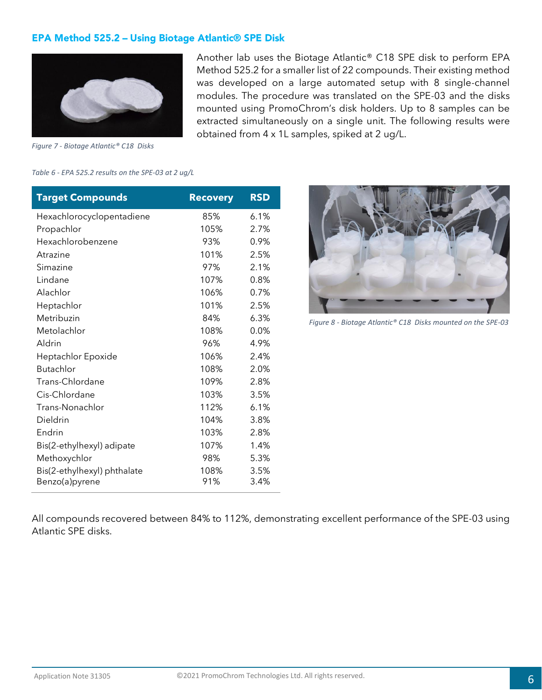# **EPA Method 525.2 - Using Biotage Atlantic® SPE Disk**



Another lab uses the Biotage Atlantic® C18 SPE disk to perform EPA Method 525.2 for a smaller list of 22 compounds. Their existing method was developed on a large automated setup with 8 single-channel modules. The procedure was translated on the SPE-03 and the disks mounted using PromoChrom's disk holders. Up to 8 samples can be extracted simultaneously on a single unit. The following results were obtained from 4 x 1L samples, spiked at 2 ug/L.

*Figure 7 - Biotage Atlantic® C18 Disks*

#### *Table 6 - EPA 525.2 results on the SPE-03 at 2 ug/L*

| <b>Target Compounds</b>     | <b>Recovery</b> | <b>RSD</b> |
|-----------------------------|-----------------|------------|
| Hexachlorocyclopentadiene   | 85%             | 6.1%       |
| Propachlor                  | 105%            | 2.7%       |
| Hexachlorobenzene           | 93%             | 0.9%       |
| Atrazine                    | 101%            | 2.5%       |
| Simazine                    | 97%             | 2.1%       |
| Lindane                     | 107%            | 0.8%       |
| Alachlor                    | 106%            | 0.7%       |
| Heptachlor                  | 101%            | 2.5%       |
| Metribuzin                  | 84%             | 6.3%       |
| Metolachlor                 | 108%            | 0.0%       |
| Aldrin                      | 96%             | 4.9%       |
| Heptachlor Epoxide          | 106%            | 2.4%       |
| <b>Butachlor</b>            | 108%            | 2.0%       |
| Trans-Chlordane             | 109%            | 2.8%       |
| Cis-Chlordane               | 103%            | 3.5%       |
| Trans-Nonachlor             | 112%            | 6.1%       |
| Dieldrin                    | 104%            | 3.8%       |
| Endrin                      | 103%            | 2.8%       |
| Bis(2-ethylhexyl) adipate   | 107%            | 1.4%       |
| Methoxychlor                | 98%             | 5.3%       |
| Bis(2-ethylhexyl) phthalate | 108%            | 3.5%       |
| Benzo(a)pyrene              | 91%             | 3.4%       |



*Figure 8 - Biotage Atlantic® C18 Disks mounted on the SPE-03*

All compounds recovered between 84% to 112%, demonstrating excellent performance of the SPE-03 using Atlantic SPE disks.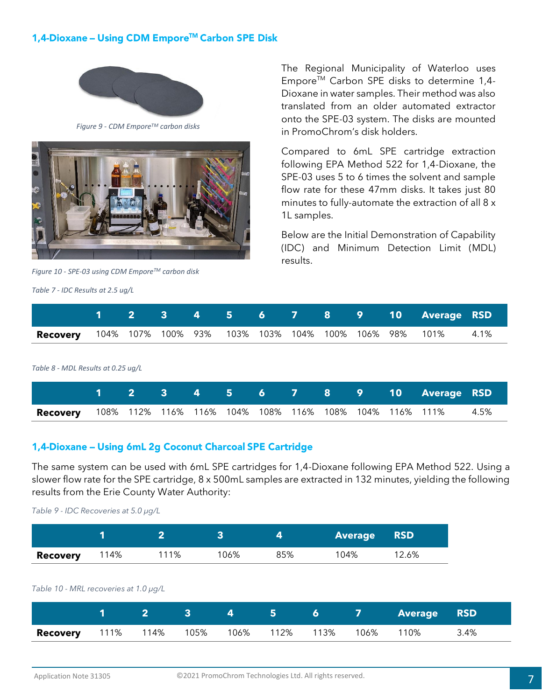# 1,4-Dioxane – Using CDM Empore™ Carbon SPE Disk



*Figure 9 - CDM EmporeTM carbon disks*



*Figure 10 - SPE-03 using CDM EmporeTM carbon disk*

*Table 7 - IDC Results at 2.5 ug/L*

The Regional Municipality of Waterloo uses EmporeTM Carbon SPE disks to determine 1,4- Dioxane in water samples. Their method was also translated from an older automated extractor onto the SPE-03 system. The disks are mounted in PromoChrom's disk holders.

Compared to 6mL SPE cartridge extraction following EPA Method 522 for 1,4-Dioxane, the SPE-03 uses 5 to 6 times the solvent and sample flow rate for these 47mm disks. It takes just 80 minutes to fully-automate the extraction of all 8 x 1L samples.

Below are the Initial Demonstration of Capability (IDC) and Minimum Detection Limit (MDL) results.

|                                                                      |  |  |  |  |  | 1 2 3 4 5 6 7 8 9 10 Average RSD |      |
|----------------------------------------------------------------------|--|--|--|--|--|----------------------------------|------|
| <b>Recovery</b> 104% 107% 100% 93% 103% 103% 104% 100% 106% 98% 101% |  |  |  |  |  |                                  | 4.1% |
|                                                                      |  |  |  |  |  |                                  |      |

*Table 8 - MDL Results at 0.25 ug/L*

|                                                                             |  |  |  |  |  | <u>11 2 3 4 5 6 7 8 9 10 Average RSD </u> |  |
|-----------------------------------------------------------------------------|--|--|--|--|--|-------------------------------------------|--|
| <b>Recovery</b> 108% 112% 116% 116% 104% 108% 116% 108% 104% 116% 111% 4.5% |  |  |  |  |  |                                           |  |

# 1,4-Dioxane - Using 6mL 2g Coconut Charcoal SPE Cartridge

The same system can be used with 6mL SPE cartridges for 1,4-Dioxane following EPA Method 522. Using a slower flow rate for the SPE cartridge, 8 x 500mL samples are extracted in 132 minutes, yielding the following results from the Erie County Water Authority:

*Table 9 - IDC Recoveries at 5.0 µg/L* 

|                 |      |      |      |     | <b>Average</b> | <b>RSD</b> |  |
|-----------------|------|------|------|-----|----------------|------------|--|
| <b>Recovery</b> | 114% | 111% | 106% | 85% | 104%           | 12.6%      |  |

### *Table 10 - MRL recoveries at 1.0 µg/L*

|                                               |  |  |  |            | 1 2 3 4 5 6 7 Average RSD |      |
|-----------------------------------------------|--|--|--|------------|---------------------------|------|
| <b>Recovery</b> 111% 114% 105% 106% 112% 113% |  |  |  | 106%  110% |                           | 3.4% |